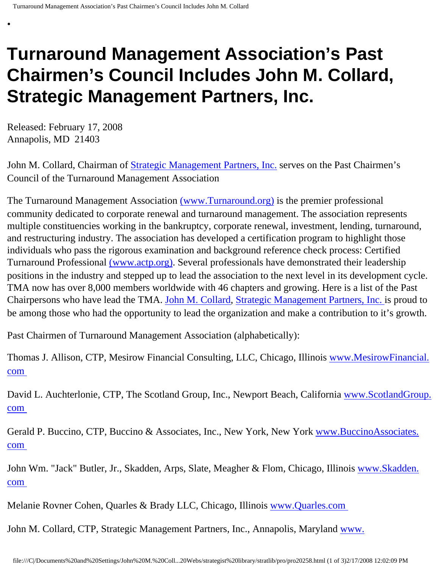## **Turnaround Management Association's Past Chairmen's Council Includes John M. Collard, Strategic Management Partners, Inc.**

Released: February 17, 2008 Annapolis, MD 21403

•

John M. Collard, Chairman of [Strategic Management Partners, Inc.](http://www.strategicmanagementpartnersinc.com/) serves on the Past Chairmen's Council of the Turnaround Management Association

The Turnaround Management Association [\(www.Turnaround.org\)](http://www.turnaround.org/) is the premier professional community dedicated to corporate renewal and turnaround management. The association represents multiple constituencies working in the bankruptcy, corporate renewal, investment, lending, turnaround, and restructuring industry. The association has developed a certification program to highlight those individuals who pass the rigorous examination and background reference check process: Certified Turnaround Professional [\(www.actp.org\).](http://www.actp.org/) Several professionals have demonstrated their leadership positions in the industry and stepped up to lead the association to the next level in its development cycle. TMA now has over 8,000 members worldwide with 46 chapters and growing. Here is a list of the Past Chairpersons who have lead the TMA. [John M. Collard,](http://members.aol.com/strategist/home.html) [Strategic Management Partners, Inc.](http://www.strategicmgtpartners.com/) is proud to be among those who had the opportunity to lead the organization and make a contribution to it's growth.

Past Chairmen of Turnaround Management Association (alphabetically):

Thomas J. Allison, CTP, Mesirow Financial Consulting, LLC, Chicago, Illinois [www.MesirowFinancial.](http://www.mesirowfinancial.com/) [com](http://www.mesirowfinancial.com/)

David L. Auchterlonie, CTP, The Scotland Group, Inc., Newport Beach, California [www.ScotlandGroup.](http://www.scotlandgroup.com/) [com](http://www.scotlandgroup.com/)

Gerald P. Buccino, CTP, Buccino & Associates, Inc., New York, New York [www.BuccinoAssociates.](http://www.buccinoassociates.com/) [com](http://www.buccinoassociates.com/)

John Wm. "Jack" Butler, Jr., Skadden, Arps, Slate, Meagher & Flom, Chicago, Illinois [www.Skadden.](http://www.skadden.com/) [com](http://www.skadden.com/)

Melanie Rovner Cohen, Quarles & Brady LLC, Chicago, Illinois [www.Quarles.com](http://www.quarles.com/)

John M. Collard, CTP, Strategic Management Partners, Inc., Annapolis, Maryland [www.](http://www.strategicmgtpartners.com/)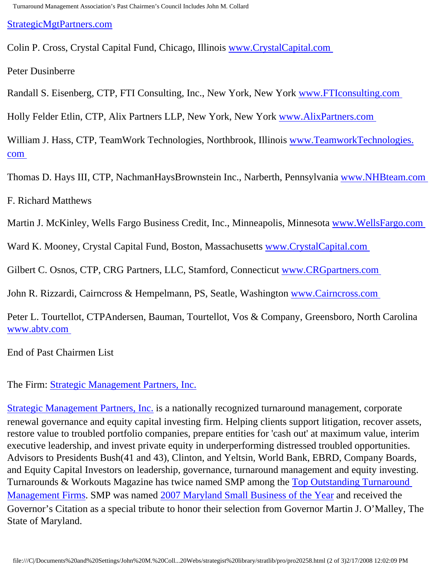[StrategicMgtPartners.com](http://www.strategicmgtpartners.com/)

Colin P. Cross, Crystal Capital Fund, Chicago, Illinois [www.CrystalCapital.com](http://www.crystalcapital.com/)

Peter Dusinberre

Randall S. Eisenberg, CTP, FTI Consulting, Inc., New York, New York [www.FTIconsulting.com](http://www.fticonsulting.com/) 

Holly Felder Etlin, CTP, Alix Partners LLP, New York, New York [www.AlixPartners.com](http://www.alixpartners.com/)

William J. Hass, CTP, TeamWork Technologies, Northbrook, Illinois [www.TeamworkTechnologies.](http://www.teamworktechnologies.com/) [com](http://www.teamworktechnologies.com/)

Thomas D. Hays III, CTP, NachmanHaysBrownstein Inc., Narberth, Pennsylvania [www.NHBteam.com](http://www.nhbteam.com/) 

F. Richard Matthews

Martin J. McKinley, Wells Fargo Business Credit, Inc., Minneapolis, Minnesota [www.WellsFargo.com](http://www.wellsfargo.com/)

Ward K. Mooney, Crystal Capital Fund, Boston, Massachusetts [www.CrystalCapital.com](http://www.crystalcapital.com/)

Gilbert C. Osnos, CTP, CRG Partners, LLC, Stamford, Connecticut [www.CRGpartners.com](http://www.crgpartners.com/)

John R. Rizzardi, Cairncross & Hempelmann, PS, Seatle, Washington [www.Cairncross.com](http://www.cairncross.com/)

Peter L. Tourtellot, CTPAndersen, Bauman, Tourtellot, Vos & Company, Greensboro, North Carolina [www.abtv.com](http://www.abtv.com/) 

End of Past Chairmen List

The Firm: [Strategic Management Partners, Inc.](http://www.strategicmgtpartners.com/)

[Strategic Management Partners, Inc.](http://www.strategicmanagementpartnersinc.com/) is a nationally recognized turnaround management, corporate renewal governance and equity capital investing firm. Helping clients support litigation, recover assets, restore value to troubled portfolio companies, prepare entities for 'cash out' at maximum value, interim executive leadership, and invest private equity in underperforming distressed troubled opportunities. Advisors to Presidents Bush(41 and 43), Clinton, and Yeltsin, World Bank, EBRD, Company Boards, and Equity Capital Investors on leadership, governance, turnaround management and equity investing. Turnarounds & Workouts Magazine has twice named SMP among the [Top Outstanding Turnaround](http://members.aol.com/Strategist/twtop12.html) [Management Firms](http://members.aol.com/Strategist/twtop12.html). SMP was named [2007 Maryland Small Business of the Year](http://members.aol.com/Stratlib3/mccsbyr.html) and received the Governor's Citation as a special tribute to honor their selection from Governor Martin J. O'Malley, The State of Maryland.